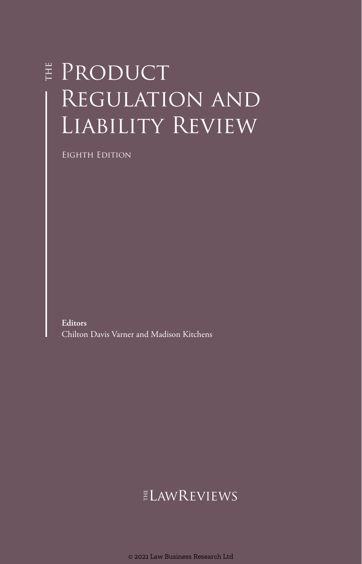# **F** PRODUCT REGULATION AND Liability Review

Eighth Edition

**Editors** Chilton Davis Varner and Madison Kitchens

## $ELMREVIEWS$

© 2021 Law Business Research Ltd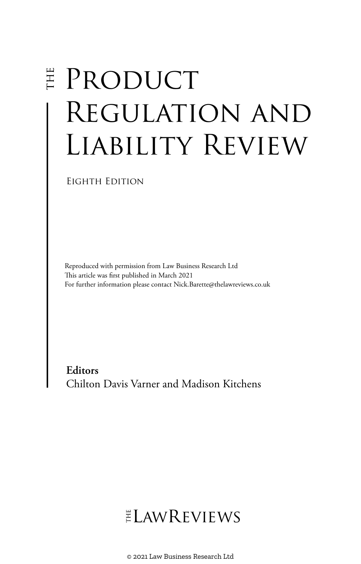# E PRODUCT Regulation and Liability Review

Eighth Edition

Reproduced with permission from Law Business Research Ltd This article was first published in March 2021 For further information please contact Nick.Barette@thelawreviews.co.uk

**Editors** Chilton Davis Varner and Madison Kitchens

# $ELMR$  EVIEWS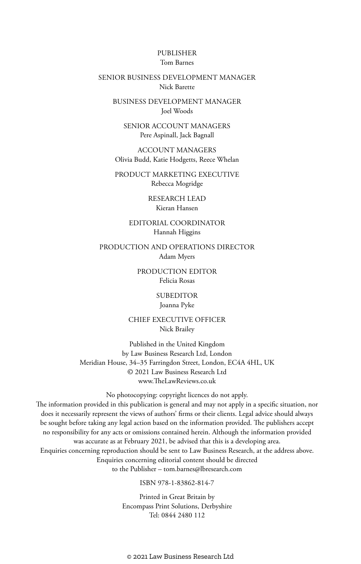#### PUBLISHER Tom Barnes

#### SENIOR BUSINESS DEVELOPMENT MANAGER Nick Barette

BUSINESS DEVELOPMENT MANAGER Joel Woods

SENIOR ACCOUNT MANAGERS Pere Aspinall, Jack Bagnall

ACCOUNT MANAGERS Olivia Budd, Katie Hodgetts, Reece Whelan

PRODUCT MARKETING EXECUTIVE Rebecca Mogridge

> RESEARCH LEAD Kieran Hansen

EDITORIAL COORDINATOR Hannah Higgins

PRODUCTION AND OPERATIONS DIRECTOR Adam Myers

> PRODUCTION EDITOR Felicia Rosas

> > SUBEDITOR Joanna Pyke

CHIEF EXECUTIVE OFFICER Nick Brailey

Published in the United Kingdom by Law Business Research Ltd, London Meridian House, 34–35 Farringdon Street, London, EC4A 4HL, UK © 2021 Law Business Research Ltd www.TheLawReviews.co.uk

No photocopying: copyright licences do not apply. The information provided in this publication is general and may not apply in a specific situation, nor does it necessarily represent the views of authors' firms or their clients. Legal advice should always be sought before taking any legal action based on the information provided. The publishers accept no responsibility for any acts or omissions contained herein. Although the information provided was accurate as at February 2021, be advised that this is a developing area. Enquiries concerning reproduction should be sent to Law Business Research, at the address above. Enquiries concerning editorial content should be directed to the Publisher – tom.barnes@lbresearch.com

ISBN 978-1-83862-814-7

Printed in Great Britain by Encompass Print Solutions, Derbyshire Tel: 0844 2480 112

© 2021 Law Business Research Ltd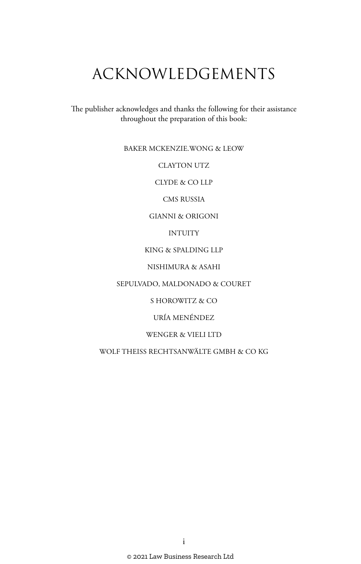# ACKNOWLEDGEMENTS

The publisher acknowledges and thanks the following for their assistance throughout the preparation of this book:

#### BAKER MCKENZIE.WONG & LEOW

CLAYTON UTZ

CLYDE & CO LLP

CMS RUSSIA

#### GIANNI & ORIGONI

#### INTUITY

#### KING & SPALDING LLP

#### NISHIMURA & ASAHI

#### SEPULVADO, MALDONADO & COURET

#### S HOROWITZ & CO

#### URÍA MENÉNDEZ

#### WENGER & VIELI LTD

#### WOLF THEISS RECHTSANWÄLTE GMBH & CO KG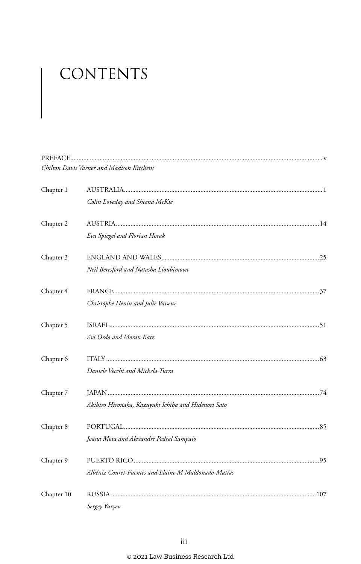# CONTENTS

|            | Chilton Davis Varner and Madison Kitchens            |  |
|------------|------------------------------------------------------|--|
| Chapter 1  |                                                      |  |
|            | Colin Loveday and Sheena McKie                       |  |
| Chapter 2  |                                                      |  |
|            | Eva Spiegel and Florian Horak                        |  |
| Chapter 3  |                                                      |  |
|            | Neil Beresford and Natasha Lioubimova                |  |
| Chapter 4  |                                                      |  |
|            | Christophe Hénin and Julie Vasseur                   |  |
| Chapter 5  |                                                      |  |
|            | Avi Ordo and Moran Katz                              |  |
| Chapter 6  |                                                      |  |
|            | Daniele Vecchi and Michela Turra                     |  |
| Chapter 7  |                                                      |  |
|            | Akihiro Hironaka, Kazuyuki Ichiba and Hidenori Sato  |  |
| Chapter 8  |                                                      |  |
|            | Joana Mota and Alexandre Pedral Sampaio              |  |
| Chapter 9  |                                                      |  |
|            | Albéniz Couret-Fuentes and Elaine M Maldonado-Matías |  |
| Chapter 10 |                                                      |  |
|            | Sergey Yuryev                                        |  |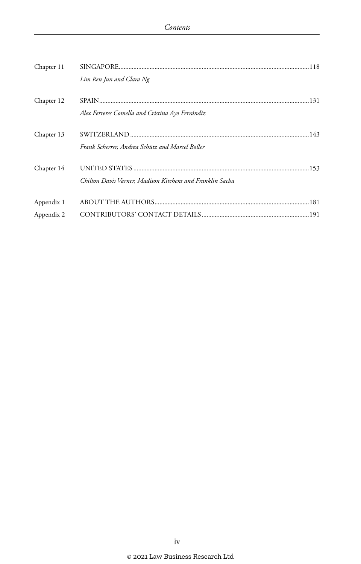| Chapter 11 |                                                           |  |
|------------|-----------------------------------------------------------|--|
|            | Lim Ren Jun and Clara Ng                                  |  |
| Chapter 12 | Alex Ferreres Comella and Cristina Ayo Ferrándiz          |  |
| Chapter 13 | Frank Scherrer, Andrea Schütz and Marcel Boller           |  |
| Chapter 14 | Chilton Davis Varner, Madison Kitchens and Franklin Sacha |  |
| Appendix 1 |                                                           |  |
| Appendix 2 |                                                           |  |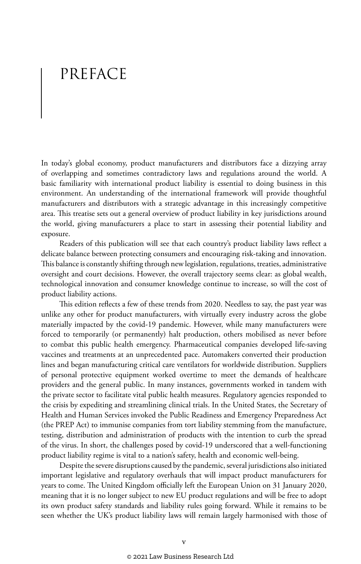# PREFACE

In today's global economy, product manufacturers and distributors face a dizzying array of overlapping and sometimes contradictory laws and regulations around the world. A basic familiarity with international product liability is essential to doing business in this environment. An understanding of the international framework will provide thoughtful manufacturers and distributors with a strategic advantage in this increasingly competitive area. This treatise sets out a general overview of product liability in key jurisdictions around the world, giving manufacturers a place to start in assessing their potential liability and exposure.

Readers of this publication will see that each country's product liability laws reflect a delicate balance between protecting consumers and encouraging risk-taking and innovation. This balance is constantly shifting through new legislation, regulations, treaties, administrative oversight and court decisions. However, the overall trajectory seems clear: as global wealth, technological innovation and consumer knowledge continue to increase, so will the cost of product liability actions.

This edition reflects a few of these trends from 2020. Needless to say, the past year was unlike any other for product manufacturers, with virtually every industry across the globe materially impacted by the covid-19 pandemic. However, while many manufacturers were forced to temporarily (or permanently) halt production, others mobilised as never before to combat this public health emergency. Pharmaceutical companies developed life-saving vaccines and treatments at an unprecedented pace. Automakers converted their production lines and began manufacturing critical care ventilators for worldwide distribution. Suppliers of personal protective equipment worked overtime to meet the demands of healthcare providers and the general public. In many instances, governments worked in tandem with the private sector to facilitate vital public health measures. Regulatory agencies responded to the crisis by expediting and streamlining clinical trials. In the United States, the Secretary of Health and Human Services invoked the Public Readiness and Emergency Preparedness Act (the PREP Act) to immunise companies from tort liability stemming from the manufacture, testing, distribution and administration of products with the intention to curb the spread of the virus. In short, the challenges posed by covid-19 underscored that a well-functioning product liability regime is vital to a nation's safety, health and economic well-being.

Despite the severe disruptions caused by the pandemic, several jurisdictions also initiated important legislative and regulatory overhauls that will impact product manufacturers for years to come. The United Kingdom officially left the European Union on 31 January 2020, meaning that it is no longer subject to new EU product regulations and will be free to adopt its own product safety standards and liability rules going forward. While it remains to be seen whether the UK's product liability laws will remain largely harmonised with those of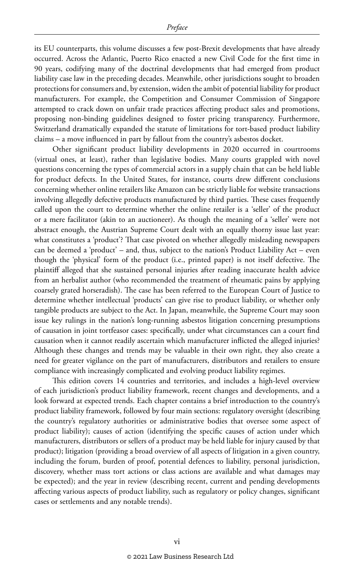its EU counterparts, this volume discusses a few post-Brexit developments that have already occurred. Across the Atlantic, Puerto Rico enacted a new Civil Code for the first time in 90 years, codifying many of the doctrinal developments that had emerged from product liability case law in the preceding decades. Meanwhile, other jurisdictions sought to broaden protections for consumers and, by extension, widen the ambit of potential liability for product manufacturers. For example, the Competition and Consumer Commission of Singapore attempted to crack down on unfair trade practices affecting product sales and promotions, proposing non-binding guidelines designed to foster pricing transparency. Furthermore, Switzerland dramatically expanded the statute of limitations for tort-based product liability claims – a move influenced in part by fallout from the country's asbestos docket.

Other significant product liability developments in 2020 occurred in courtrooms (virtual ones, at least), rather than legislative bodies. Many courts grappled with novel questions concerning the types of commercial actors in a supply chain that can be held liable for product defects. In the United States, for instance, courts drew different conclusions concerning whether online retailers like Amazon can be strictly liable for website transactions involving allegedly defective products manufactured by third parties. These cases frequently called upon the court to determine whether the online retailer is a 'seller' of the product or a mere facilitator (akin to an auctioneer). As though the meaning of a 'seller' were not abstract enough, the Austrian Supreme Court dealt with an equally thorny issue last year: what constitutes a 'product'? That case pivoted on whether allegedly misleading newspapers can be deemed a 'product' – and, thus, subject to the nation's Product Liability Act – even though the 'physical' form of the product (i.e., printed paper) is not itself defective. The plaintiff alleged that she sustained personal injuries after reading inaccurate health advice from an herbalist author (who recommended the treatment of rheumatic pains by applying coarsely grated horseradish). The case has been referred to the European Court of Justice to determine whether intellectual 'products' can give rise to product liability, or whether only tangible products are subject to the Act. In Japan, meanwhile, the Supreme Court may soon issue key rulings in the nation's long-running asbestos litigation concerning presumptions of causation in joint tortfeasor cases: specifically, under what circumstances can a court find causation when it cannot readily ascertain which manufacturer inflicted the alleged injuries? Although these changes and trends may be valuable in their own right, they also create a need for greater vigilance on the part of manufacturers, distributors and retailers to ensure compliance with increasingly complicated and evolving product liability regimes.

This edition covers 14 countries and territories, and includes a high-level overview of each jurisdiction's product liability framework, recent changes and developments, and a look forward at expected trends. Each chapter contains a brief introduction to the country's product liability framework, followed by four main sections: regulatory oversight (describing the country's regulatory authorities or administrative bodies that oversee some aspect of product liability); causes of action (identifying the specific causes of action under which manufacturers, distributors or sellers of a product may be held liable for injury caused by that product); litigation (providing a broad overview of all aspects of litigation in a given country, including the forum, burden of proof, potential defences to liability, personal jurisdiction, discovery, whether mass tort actions or class actions are available and what damages may be expected); and the year in review (describing recent, current and pending developments affecting various aspects of product liability, such as regulatory or policy changes, significant cases or settlements and any notable trends).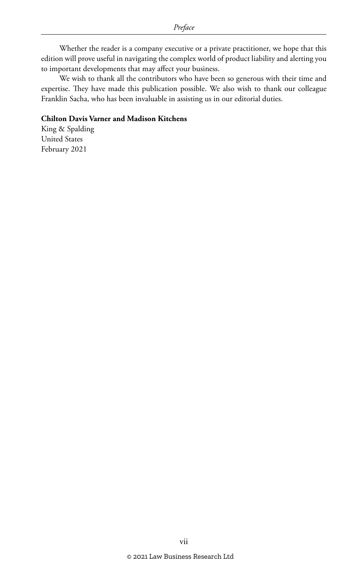Whether the reader is a company executive or a private practitioner, we hope that this edition will prove useful in navigating the complex world of product liability and alerting you to important developments that may affect your business.

We wish to thank all the contributors who have been so generous with their time and expertise. They have made this publication possible. We also wish to thank our colleague Franklin Sacha, who has been invaluable in assisting us in our editorial duties.

#### **Chilton Davis Varner and Madison Kitchens**

King & Spalding United States February 2021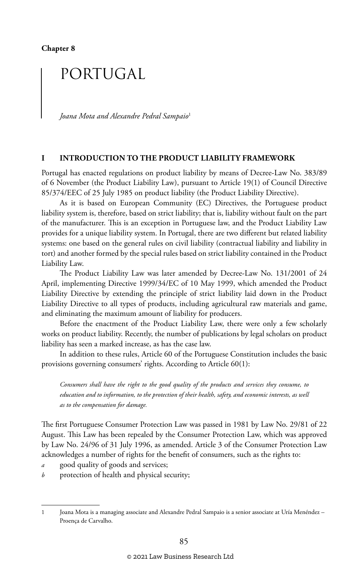## PORTUGAL

*Joana Mota and Alexandre Pedral Sampaio*<sup>1</sup>

#### **I INTRODUCTION TO THE PRODUCT LIABILITY FRAMEWORK**

Portugal has enacted regulations on product liability by means of Decree-Law No. 383/89 of 6 November (the Product Liability Law), pursuant to Article 19(1) of Council Directive 85/374/EEC of 25 July 1985 on product liability (the Product Liability Directive).

As it is based on European Community (EC) Directives, the Portuguese product liability system is, therefore, based on strict liability; that is, liability without fault on the part of the manufacturer. This is an exception in Portuguese law, and the Product Liability Law provides for a unique liability system. In Portugal, there are two different but related liability systems: one based on the general rules on civil liability (contractual liability and liability in tort) and another formed by the special rules based on strict liability contained in the Product Liability Law.

The Product Liability Law was later amended by Decree-Law No. 131/2001 of 24 April, implementing Directive 1999/34/EC of 10 May 1999, which amended the Product Liability Directive by extending the principle of strict liability laid down in the Product Liability Directive to all types of products, including agricultural raw materials and game, and eliminating the maximum amount of liability for producers.

Before the enactment of the Product Liability Law, there were only a few scholarly works on product liability. Recently, the number of publications by legal scholars on product liability has seen a marked increase, as has the case law.

In addition to these rules, Article 60 of the Portuguese Constitution includes the basic provisions governing consumers' rights. According to Article 60(1):

*Consumers shall have the right to the good quality of the products and services they consume, to education and to information, to the protection of their health, safety, and economic interests, as well as to the compensation for damage.*

The first Portuguese Consumer Protection Law was passed in 1981 by Law No. 29/81 of 22 August. This Law has been repealed by the Consumer Protection Law, which was approved by Law No. 24/96 of 31 July 1996, as amended. Article 3 of the Consumer Protection Law acknowledges a number of rights for the benefit of consumers, such as the rights to:

- *a* good quality of goods and services;
- *b* protection of health and physical security;

<sup>1</sup> Joana Mota is a managing associate and Alexandre Pedral Sampaio is a senior associate at Uría Menéndez – Proença de Carvalho.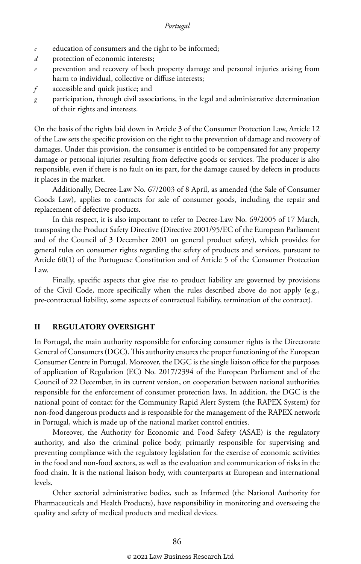- *c* education of consumers and the right to be informed;
- *d* protection of economic interests;
- *e* prevention and recovery of both property damage and personal injuries arising from harm to individual, collective or diffuse interests;
- *f* accessible and quick justice; and
- *g* participation, through civil associations, in the legal and administrative determination of their rights and interests.

On the basis of the rights laid down in Article 3 of the Consumer Protection Law, Article 12 of the Law sets the specific provision on the right to the prevention of damage and recovery of damages. Under this provision, the consumer is entitled to be compensated for any property damage or personal injuries resulting from defective goods or services. The producer is also responsible, even if there is no fault on its part, for the damage caused by defects in products it places in the market.

Additionally, Decree-Law No. 67/2003 of 8 April, as amended (the Sale of Consumer Goods Law), applies to contracts for sale of consumer goods, including the repair and replacement of defective products.

In this respect, it is also important to refer to Decree-Law No. 69/2005 of 17 March, transposing the Product Safety Directive (Directive 2001/95/EC of the European Parliament and of the Council of 3 December 2001 on general product safety), which provides for general rules on consumer rights regarding the safety of products and services, pursuant to Article 60(1) of the Portuguese Constitution and of Article 5 of the Consumer Protection Law.

Finally, specific aspects that give rise to product liability are governed by provisions of the Civil Code, more specifically when the rules described above do not apply (e.g., pre-contractual liability, some aspects of contractual liability, termination of the contract).

#### **II REGULATORY OVERSIGHT**

In Portugal, the main authority responsible for enforcing consumer rights is the Directorate General of Consumers (DGC). This authority ensures the proper functioning of the European Consumer Centre in Portugal. Moreover, the DGC is the single liaison office for the purposes of application of Regulation (EC) No. 2017/2394 of the European Parliament and of the Council of 22 December, in its current version, on cooperation between national authorities responsible for the enforcement of consumer protection laws. In addition, the DGC is the national point of contact for the Community Rapid Alert System (the RAPEX System) for non-food dangerous products and is responsible for the management of the RAPEX network in Portugal, which is made up of the national market control entities.

Moreover, the Authority for Economic and Food Safety (ASAE) is the regulatory authority, and also the criminal police body, primarily responsible for supervising and preventing compliance with the regulatory legislation for the exercise of economic activities in the food and non-food sectors, as well as the evaluation and communication of risks in the food chain. It is the national liaison body, with counterparts at European and international levels.

Other sectorial administrative bodies, such as Infarmed (the National Authority for Pharmaceuticals and Health Products), have responsibility in monitoring and overseeing the quality and safety of medical products and medical devices.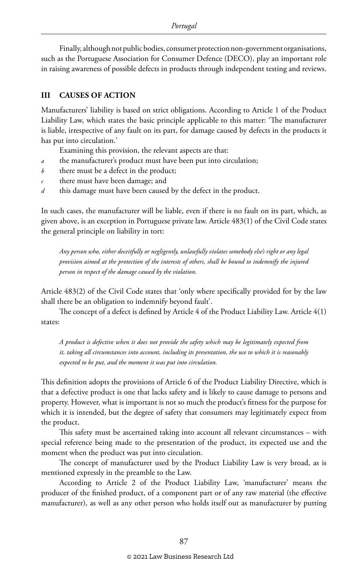Finally, although not public bodies, consumer protection non-government organisations, such as the Portuguese Association for Consumer Defence (DECO), play an important role in raising awareness of possible defects in products through independent testing and reviews.

#### **III CAUSES OF ACTION**

Manufacturers' liability is based on strict obligations. According to Article 1 of the Product Liability Law, which states the basic principle applicable to this matter: 'The manufacturer is liable, irrespective of any fault on its part, for damage caused by defects in the products it has put into circulation.'

Examining this provision, the relevant aspects are that:

- *a* the manufacturer's product must have been put into circulation;
- *b* there must be a defect in the product;
- *c* there must have been damage; and
- *d* this damage must have been caused by the defect in the product.

In such cases, the manufacturer will be liable, even if there is no fault on its part, which, as given above, is an exception in Portuguese private law. Article 483(1) of the Civil Code states the general principle on liability in tort:

*Any person who, either deceitfully or negligently, unlawfully violates somebody else's right or any legal provision aimed at the protection of the interests of others, shall be bound to indemnify the injured person in respect of the damage caused by the violation.*

Article 483(2) of the Civil Code states that 'only where specifically provided for by the law shall there be an obligation to indemnify beyond fault'.

The concept of a defect is defined by Article 4 of the Product Liability Law. Article 4(1) states:

*A product is defective when it does not provide the safety which may be legitimately expected from it, taking all circumstances into account, including its presentation, the use to which it is reasonably expected to be put, and the moment it was put into circulation.*

This definition adopts the provisions of Article 6 of the Product Liability Directive, which is that a defective product is one that lacks safety and is likely to cause damage to persons and property. However, what is important is not so much the product's fitness for the purpose for which it is intended, but the degree of safety that consumers may legitimately expect from the product.

This safety must be ascertained taking into account all relevant circumstances – with special reference being made to the presentation of the product, its expected use and the moment when the product was put into circulation.

The concept of manufacturer used by the Product Liability Law is very broad, as is mentioned expressly in the preamble to the Law.

According to Article 2 of the Product Liability Law, 'manufacturer' means the producer of the finished product, of a component part or of any raw material (the effective manufacturer), as well as any other person who holds itself out as manufacturer by putting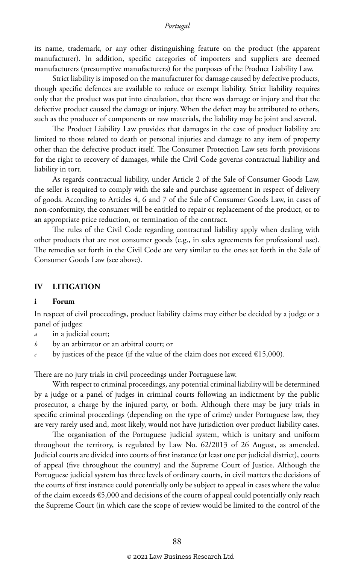its name, trademark, or any other distinguishing feature on the product (the apparent manufacturer). In addition, specific categories of importers and suppliers are deemed manufacturers (presumptive manufacturers) for the purposes of the Product Liability Law.

Strict liability is imposed on the manufacturer for damage caused by defective products, though specific defences are available to reduce or exempt liability. Strict liability requires only that the product was put into circulation, that there was damage or injury and that the defective product caused the damage or injury. When the defect may be attributed to others, such as the producer of components or raw materials, the liability may be joint and several.

The Product Liability Law provides that damages in the case of product liability are limited to those related to death or personal injuries and damage to any item of property other than the defective product itself. The Consumer Protection Law sets forth provisions for the right to recovery of damages, while the Civil Code governs contractual liability and liability in tort.

As regards contractual liability, under Article 2 of the Sale of Consumer Goods Law, the seller is required to comply with the sale and purchase agreement in respect of delivery of goods. According to Articles 4, 6 and 7 of the Sale of Consumer Goods Law, in cases of non-conformity, the consumer will be entitled to repair or replacement of the product, or to an appropriate price reduction, or termination of the contract.

The rules of the Civil Code regarding contractual liability apply when dealing with other products that are not consumer goods (e.g., in sales agreements for professional use). The remedies set forth in the Civil Code are very similar to the ones set forth in the Sale of Consumer Goods Law (see above).

#### **IV LITIGATION**

#### **i Forum**

In respect of civil proceedings, product liability claims may either be decided by a judge or a panel of judges:

- *a* in a judicial court;
- *b* by an arbitrator or an arbitral court; or
- *c* by justices of the peace (if the value of the claim does not exceed  $\epsilon$ 15,000).

There are no jury trials in civil proceedings under Portuguese law.

With respect to criminal proceedings, any potential criminal liability will be determined by a judge or a panel of judges in criminal courts following an indictment by the public prosecutor, a charge by the injured party, or both. Although there may be jury trials in specific criminal proceedings (depending on the type of crime) under Portuguese law, they are very rarely used and, most likely, would not have jurisdiction over product liability cases.

The organisation of the Portuguese judicial system, which is unitary and uniform throughout the territory, is regulated by Law No. 62/2013 of 26 August, as amended. Judicial courts are divided into courts of first instance (at least one per judicial district), courts of appeal (five throughout the country) and the Supreme Court of Justice. Although the Portuguese judicial system has three levels of ordinary courts, in civil matters the decisions of the courts of first instance could potentially only be subject to appeal in cases where the value of the claim exceeds  $\epsilon$ 5,000 and decisions of the courts of appeal could potentially only reach the Supreme Court (in which case the scope of review would be limited to the control of the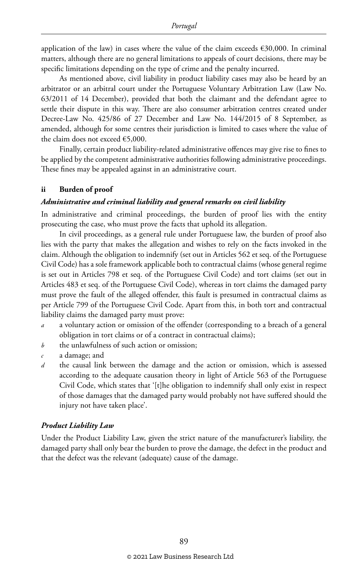application of the law) in cases where the value of the claim exceeds  $\epsilon$ 30,000. In criminal matters, although there are no general limitations to appeals of court decisions, there may be specific limitations depending on the type of crime and the penalty incurred.

As mentioned above, civil liability in product liability cases may also be heard by an arbitrator or an arbitral court under the Portuguese Voluntary Arbitration Law (Law No. 63/2011 of 14 December), provided that both the claimant and the defendant agree to settle their dispute in this way. There are also consumer arbitration centres created under Decree-Law No. 425/86 of 27 December and Law No. 144/2015 of 8 September, as amended, although for some centres their jurisdiction is limited to cases where the value of the claim does not exceed €5,000.

Finally, certain product liability-related administrative offences may give rise to fines to be applied by the competent administrative authorities following administrative proceedings. These fines may be appealed against in an administrative court.

#### **ii Burden of proof**

#### *Administrative and criminal liability and general remarks on civil liability*

In administrative and criminal proceedings, the burden of proof lies with the entity prosecuting the case, who must prove the facts that uphold its allegation.

In civil proceedings, as a general rule under Portuguese law, the burden of proof also lies with the party that makes the allegation and wishes to rely on the facts invoked in the claim. Although the obligation to indemnify (set out in Articles 562 et seq. of the Portuguese Civil Code) has a sole framework applicable both to contractual claims (whose general regime is set out in Articles 798 et seq. of the Portuguese Civil Code) and tort claims (set out in Articles 483 et seq. of the Portuguese Civil Code), whereas in tort claims the damaged party must prove the fault of the alleged offender, this fault is presumed in contractual claims as per Article 799 of the Portuguese Civil Code. Apart from this, in both tort and contractual liability claims the damaged party must prove:

- *a* a voluntary action or omission of the offender (corresponding to a breach of a general obligation in tort claims or of a contract in contractual claims);
- *b* the unlawfulness of such action or omission;
- *c* a damage; and
- *d* the causal link between the damage and the action or omission, which is assessed according to the adequate causation theory in light of Article 563 of the Portuguese Civil Code, which states that '[t]he obligation to indemnify shall only exist in respect of those damages that the damaged party would probably not have suffered should the injury not have taken place'.

#### *Product Liability Law*

Under the Product Liability Law, given the strict nature of the manufacturer's liability, the damaged party shall only bear the burden to prove the damage, the defect in the product and that the defect was the relevant (adequate) cause of the damage.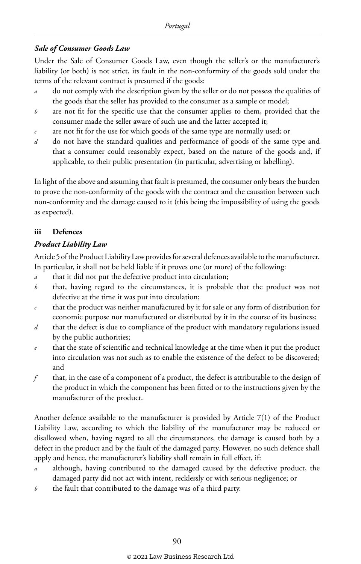#### *Sale of Consumer Goods Law*

Under the Sale of Consumer Goods Law, even though the seller's or the manufacturer's liability (or both) is not strict, its fault in the non-conformity of the goods sold under the terms of the relevant contract is presumed if the goods:

- *a* do not comply with the description given by the seller or do not possess the qualities of the goods that the seller has provided to the consumer as a sample or model;
- *b* are not fit for the specific use that the consumer applies to them, provided that the consumer made the seller aware of such use and the latter accepted it;
- *c* are not fit for the use for which goods of the same type are normally used; or
- *d* do not have the standard qualities and performance of goods of the same type and that a consumer could reasonably expect, based on the nature of the goods and, if applicable, to their public presentation (in particular, advertising or labelling).

In light of the above and assuming that fault is presumed, the consumer only bears the burden to prove the non-conformity of the goods with the contract and the causation between such non-conformity and the damage caused to it (this being the impossibility of using the goods as expected).

#### **iii Defences**

#### *Product Liability Law*

Article 5 of the Product Liability Law provides for several defences available to the manufacturer. In particular, it shall not be held liable if it proves one (or more) of the following:

- *a* that it did not put the defective product into circulation;
- *b* that, having regard to the circumstances, it is probable that the product was not defective at the time it was put into circulation;
- *c* that the product was neither manufactured by it for sale or any form of distribution for economic purpose nor manufactured or distributed by it in the course of its business;
- *d* that the defect is due to compliance of the product with mandatory regulations issued by the public authorities;
- *e* that the state of scientific and technical knowledge at the time when it put the product into circulation was not such as to enable the existence of the defect to be discovered; and
- *f* that, in the case of a component of a product, the defect is attributable to the design of the product in which the component has been fitted or to the instructions given by the manufacturer of the product.

Another defence available to the manufacturer is provided by Article 7(1) of the Product Liability Law, according to which the liability of the manufacturer may be reduced or disallowed when, having regard to all the circumstances, the damage is caused both by a defect in the product and by the fault of the damaged party. However, no such defence shall apply and hence, the manufacturer's liability shall remain in full effect, if:

- *a* although, having contributed to the damaged caused by the defective product, the damaged party did not act with intent, recklessly or with serious negligence; or
- *b* the fault that contributed to the damage was of a third party.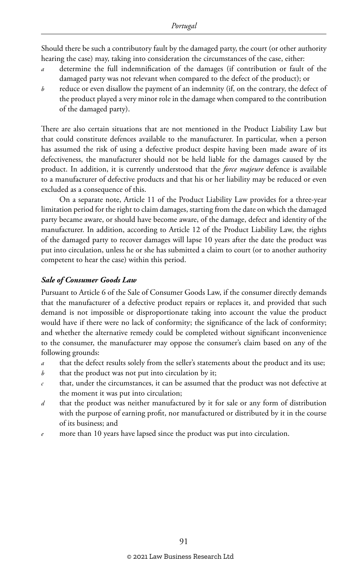Should there be such a contributory fault by the damaged party, the court (or other authority hearing the case) may, taking into consideration the circumstances of the case, either:

- *a* determine the full indemnification of the damages (if contribution or fault of the damaged party was not relevant when compared to the defect of the product); or
- *b* reduce or even disallow the payment of an indemnity (if, on the contrary, the defect of the product played a very minor role in the damage when compared to the contribution of the damaged party).

There are also certain situations that are not mentioned in the Product Liability Law but that could constitute defences available to the manufacturer. In particular, when a person has assumed the risk of using a defective product despite having been made aware of its defectiveness, the manufacturer should not be held liable for the damages caused by the product. In addition, it is currently understood that the *force majeure* defence is available to a manufacturer of defective products and that his or her liability may be reduced or even excluded as a consequence of this.

On a separate note, Article 11 of the Product Liability Law provides for a three-year limitation period for the right to claim damages, starting from the date on which the damaged party became aware, or should have become aware, of the damage, defect and identity of the manufacturer. In addition, according to Article 12 of the Product Liability Law, the rights of the damaged party to recover damages will lapse 10 years after the date the product was put into circulation, unless he or she has submitted a claim to court (or to another authority competent to hear the case) within this period.

#### *Sale of Consumer Goods Law*

Pursuant to Article 6 of the Sale of Consumer Goods Law, if the consumer directly demands that the manufacturer of a defective product repairs or replaces it, and provided that such demand is not impossible or disproportionate taking into account the value the product would have if there were no lack of conformity; the significance of the lack of conformity; and whether the alternative remedy could be completed without significant inconvenience to the consumer, the manufacturer may oppose the consumer's claim based on any of the following grounds:

- *a* that the defect results solely from the seller's statements about the product and its use;
- *b* that the product was not put into circulation by it;
- *c* that, under the circumstances, it can be assumed that the product was not defective at the moment it was put into circulation;
- *d* that the product was neither manufactured by it for sale or any form of distribution with the purpose of earning profit, nor manufactured or distributed by it in the course of its business; and
- *e* more than 10 years have lapsed since the product was put into circulation.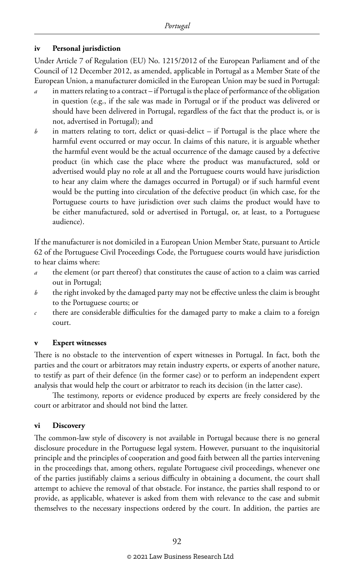#### **iv Personal jurisdiction**

Under Article 7 of Regulation (EU) No. 1215/2012 of the European Parliament and of the Council of 12 December 2012, as amended, applicable in Portugal as a Member State of the European Union, a manufacturer domiciled in the European Union may be sued in Portugal:

- *a* in matters relating to a contract if Portugal is the place of performance of the obligation in question (e.g., if the sale was made in Portugal or if the product was delivered or should have been delivered in Portugal, regardless of the fact that the product is, or is not, advertised in Portugal); and
- *b* in matters relating to tort, delict or quasi-delict if Portugal is the place where the harmful event occurred or may occur. In claims of this nature, it is arguable whether the harmful event would be the actual occurrence of the damage caused by a defective product (in which case the place where the product was manufactured, sold or advertised would play no role at all and the Portuguese courts would have jurisdiction to hear any claim where the damages occurred in Portugal) or if such harmful event would be the putting into circulation of the defective product (in which case, for the Portuguese courts to have jurisdiction over such claims the product would have to be either manufactured, sold or advertised in Portugal, or, at least, to a Portuguese audience).

If the manufacturer is not domiciled in a European Union Member State, pursuant to Article 62 of the Portuguese Civil Proceedings Code, the Portuguese courts would have jurisdiction to hear claims where:

- *a* the element (or part thereof) that constitutes the cause of action to a claim was carried out in Portugal;
- *b* the right invoked by the damaged party may not be effective unless the claim is brought to the Portuguese courts; or
- *c* there are considerable difficulties for the damaged party to make a claim to a foreign court.

#### **v Expert witnesses**

There is no obstacle to the intervention of expert witnesses in Portugal. In fact, both the parties and the court or arbitrators may retain industry experts, or experts of another nature, to testify as part of their defence (in the former case) or to perform an independent expert analysis that would help the court or arbitrator to reach its decision (in the latter case).

The testimony, reports or evidence produced by experts are freely considered by the court or arbitrator and should not bind the latter.

#### **vi Discovery**

The common-law style of discovery is not available in Portugal because there is no general disclosure procedure in the Portuguese legal system. However, pursuant to the inquisitorial principle and the principles of cooperation and good faith between all the parties intervening in the proceedings that, among others, regulate Portuguese civil proceedings, whenever one of the parties justifiably claims a serious difficulty in obtaining a document, the court shall attempt to achieve the removal of that obstacle. For instance, the parties shall respond to or provide, as applicable, whatever is asked from them with relevance to the case and submit themselves to the necessary inspections ordered by the court. In addition, the parties are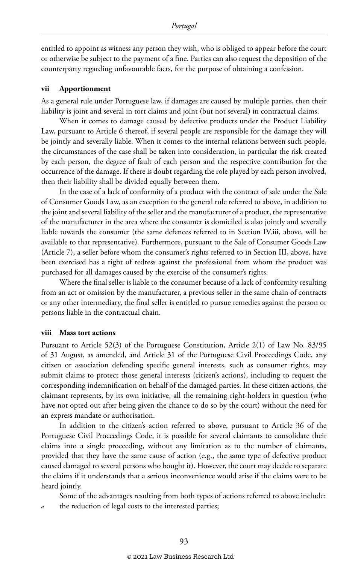entitled to appoint as witness any person they wish, who is obliged to appear before the court or otherwise be subject to the payment of a fine. Parties can also request the deposition of the counterparty regarding unfavourable facts, for the purpose of obtaining a confession.

#### **vii Apportionment**

As a general rule under Portuguese law, if damages are caused by multiple parties, then their liability is joint and several in tort claims and joint (but not several) in contractual claims.

When it comes to damage caused by defective products under the Product Liability Law, pursuant to Article 6 thereof, if several people are responsible for the damage they will be jointly and severally liable. When it comes to the internal relations between such people, the circumstances of the case shall be taken into consideration, in particular the risk created by each person, the degree of fault of each person and the respective contribution for the occurrence of the damage. If there is doubt regarding the role played by each person involved, then their liability shall be divided equally between them.

In the case of a lack of conformity of a product with the contract of sale under the Sale of Consumer Goods Law, as an exception to the general rule referred to above, in addition to the joint and several liability of the seller and the manufacturer of a product, the representative of the manufacturer in the area where the consumer is domiciled is also jointly and severally liable towards the consumer (the same defences referred to in Section IV.iii, above, will be available to that representative). Furthermore, pursuant to the Sale of Consumer Goods Law (Article 7), a seller before whom the consumer's rights referred to in Section III, above, have been exercised has a right of redress against the professional from whom the product was purchased for all damages caused by the exercise of the consumer's rights.

Where the final seller is liable to the consumer because of a lack of conformity resulting from an act or omission by the manufacturer, a previous seller in the same chain of contracts or any other intermediary, the final seller is entitled to pursue remedies against the person or persons liable in the contractual chain.

#### **viii Mass tort actions**

Pursuant to Article 52(3) of the Portuguese Constitution, Article 2(1) of Law No. 83/95 of 31 August, as amended, and Article 31 of the Portuguese Civil Proceedings Code, any citizen or association defending specific general interests, such as consumer rights, may submit claims to protect those general interests (citizen's actions), including to request the corresponding indemnification on behalf of the damaged parties. In these citizen actions, the claimant represents, by its own initiative, all the remaining right-holders in question (who have not opted out after being given the chance to do so by the court) without the need for an express mandate or authorisation.

In addition to the citizen's action referred to above, pursuant to Article 36 of the Portuguese Civil Proceedings Code, it is possible for several claimants to consolidate their claims into a single proceeding, without any limitation as to the number of claimants, provided that they have the same cause of action (e.g., the same type of defective product caused damaged to several persons who bought it). However, the court may decide to separate the claims if it understands that a serious inconvenience would arise if the claims were to be heard jointly.

Some of the advantages resulting from both types of actions referred to above include: the reduction of legal costs to the interested parties;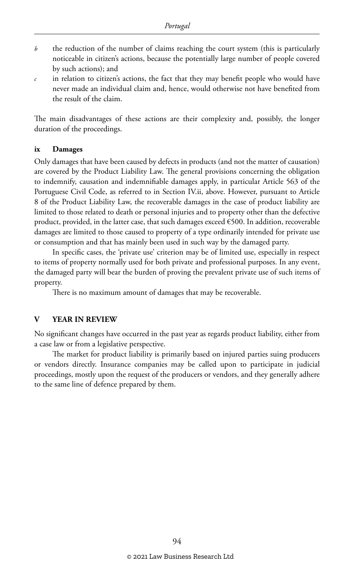- *b* the reduction of the number of claims reaching the court system (this is particularly noticeable in citizen's actions, because the potentially large number of people covered by such actions); and
- *c* in relation to citizen's actions, the fact that they may benefit people who would have never made an individual claim and, hence, would otherwise not have benefited from the result of the claim.

The main disadvantages of these actions are their complexity and, possibly, the longer duration of the proceedings.

#### **ix Damages**

Only damages that have been caused by defects in products (and not the matter of causation) are covered by the Product Liability Law. The general provisions concerning the obligation to indemnify, causation and indemnifiable damages apply, in particular Article 563 of the Portuguese Civil Code, as referred to in Section IV.ii, above. However, pursuant to Article 8 of the Product Liability Law, the recoverable damages in the case of product liability are limited to those related to death or personal injuries and to property other than the defective product, provided, in the latter case, that such damages exceed €500. In addition, recoverable damages are limited to those caused to property of a type ordinarily intended for private use or consumption and that has mainly been used in such way by the damaged party.

In specific cases, the 'private use' criterion may be of limited use, especially in respect to items of property normally used for both private and professional purposes. In any event, the damaged party will bear the burden of proving the prevalent private use of such items of property.

There is no maximum amount of damages that may be recoverable.

#### **V YEAR IN REVIEW**

No significant changes have occurred in the past year as regards product liability, either from a case law or from a legislative perspective.

The market for product liability is primarily based on injured parties suing producers or vendors directly. Insurance companies may be called upon to participate in judicial proceedings, mostly upon the request of the producers or vendors, and they generally adhere to the same line of defence prepared by them.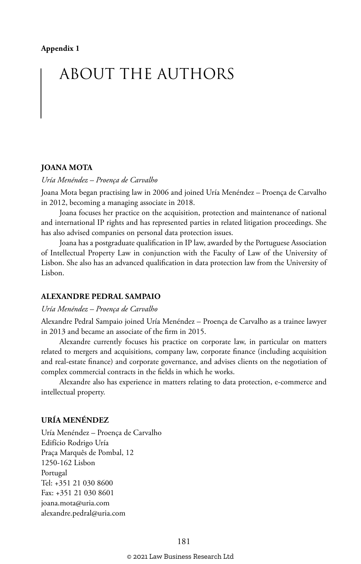# ABOUT THE AUTHORS

#### **JOANA MOTA**

#### *Uría Menéndez – Proença de Carvalho*

Joana Mota began practising law in 2006 and joined Uría Menéndez – Proença de Carvalho in 2012, becoming a managing associate in 2018.

Joana focuses her practice on the acquisition, protection and maintenance of national and international IP rights and has represented parties in related litigation proceedings. She has also advised companies on personal data protection issues.

Joana has a postgraduate qualification in IP law, awarded by the Portuguese Association of Intellectual Property Law in conjunction with the Faculty of Law of the University of Lisbon. She also has an advanced qualification in data protection law from the University of Lisbon.

#### **ALEXANDRE PEDRAL SAMPAIO**

#### *Uría Menéndez – Proença de Carvalho*

Alexandre Pedral Sampaio joined Uría Menéndez – Proença de Carvalho as a trainee lawyer in 2013 and became an associate of the firm in 2015.

Alexandre currently focuses his practice on corporate law, in particular on matters related to mergers and acquisitions, company law, corporate finance (including acquisition and real-estate finance) and corporate governance, and advises clients on the negotiation of complex commercial contracts in the fields in which he works.

Alexandre also has experience in matters relating to data protection, e-commerce and intellectual property.

#### **URÍA MENÉNDEZ**

Uría Menéndez – Proença de Carvalho Edifício Rodrigo Uría Praça Marquês de Pombal, 12 1250-162 Lisbon Portugal Tel: +351 21 030 8600 Fax: +351 21 030 8601 joana.mota@uria.com alexandre.pedral@uria.com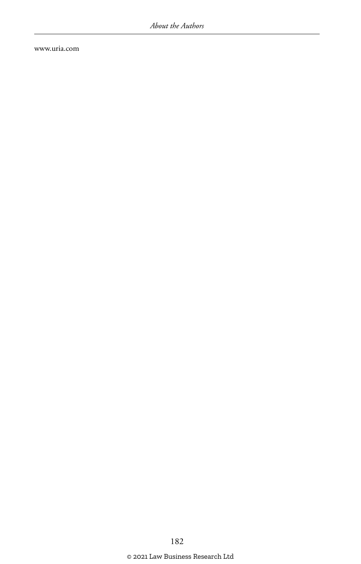www.uria.com